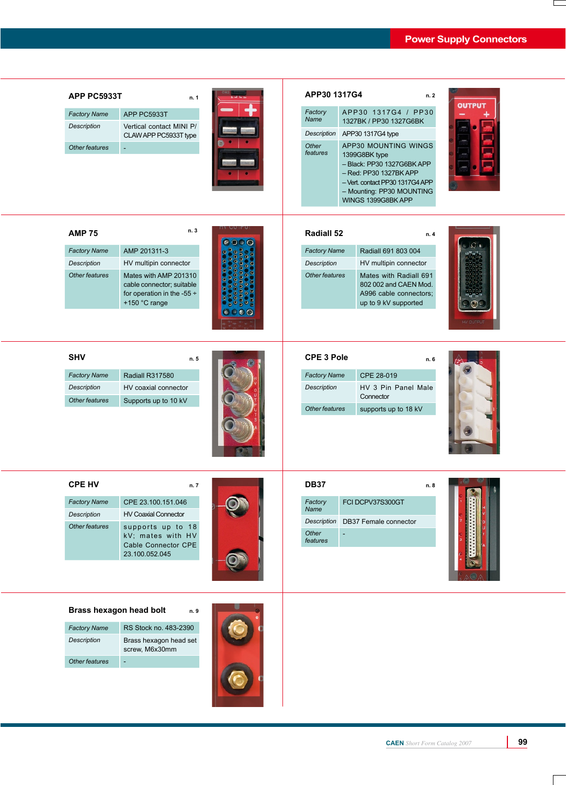